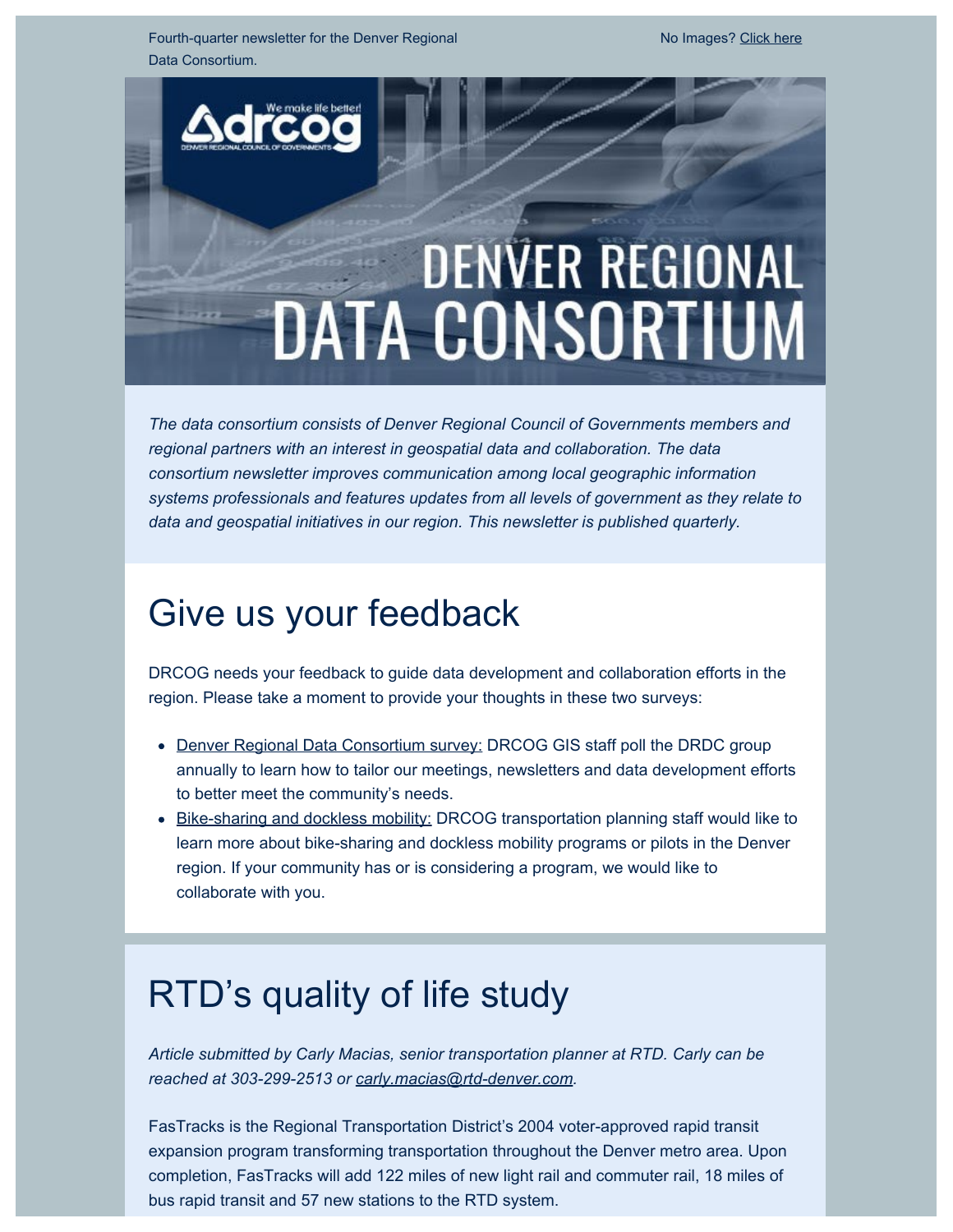Fourth-quarter newsletter for the Denver Regional Data Consortium.

# **DENVER REGIONAL DATA CONSORTIUM**

*The data consortium consists of Denver Regional Council of Governments members and regional partners with an interest in geospatial data and collaboration. The data consortium newsletter improves communication among local geographic information systems professionals and features updates from all levels of government as they relate to data and geospatial initiatives in our region. This newsletter is published quarterly.*

# Give us your feedback

DRCOG needs your feedback to guide data development and collaboration efforts in the region. Please take a moment to provide your thoughts in these two surveys:

- [Denver Regional Data Consortium survey:](https://drcog.createsend1.com/t/d-l-nbayd-l-y/) DRCOG GIS staff poll the DRDC group annually to learn how to tailor our meetings, newsletters and data development efforts to better meet the community's needs.
- **[Bike-sharing and dockless mobility:](https://drcog.createsend1.com/t/d-l-nbayd-l-j/) DRCOG transportation planning staff would like to** learn more about bike-sharing and dockless mobility programs or pilots in the Denver region. If your community has or is considering a program, we would like to collaborate with you.

# RTD's quality of life study

*Article submitted by Carly Macias, senior transportation planner at RTD. Carly can be reached at 303-299-2513 or [carly.macias@rtd-denver.com](mailto:carly.macias@rtd-denver.com).*

FasTracks is the Regional Transportation District's 2004 voter-approved rapid transit expansion program transforming transportation throughout the Denver metro area. Upon completion, FasTracks will add 122 miles of new light rail and commuter rail, 18 miles of bus rapid transit and 57 new stations to the RTD system.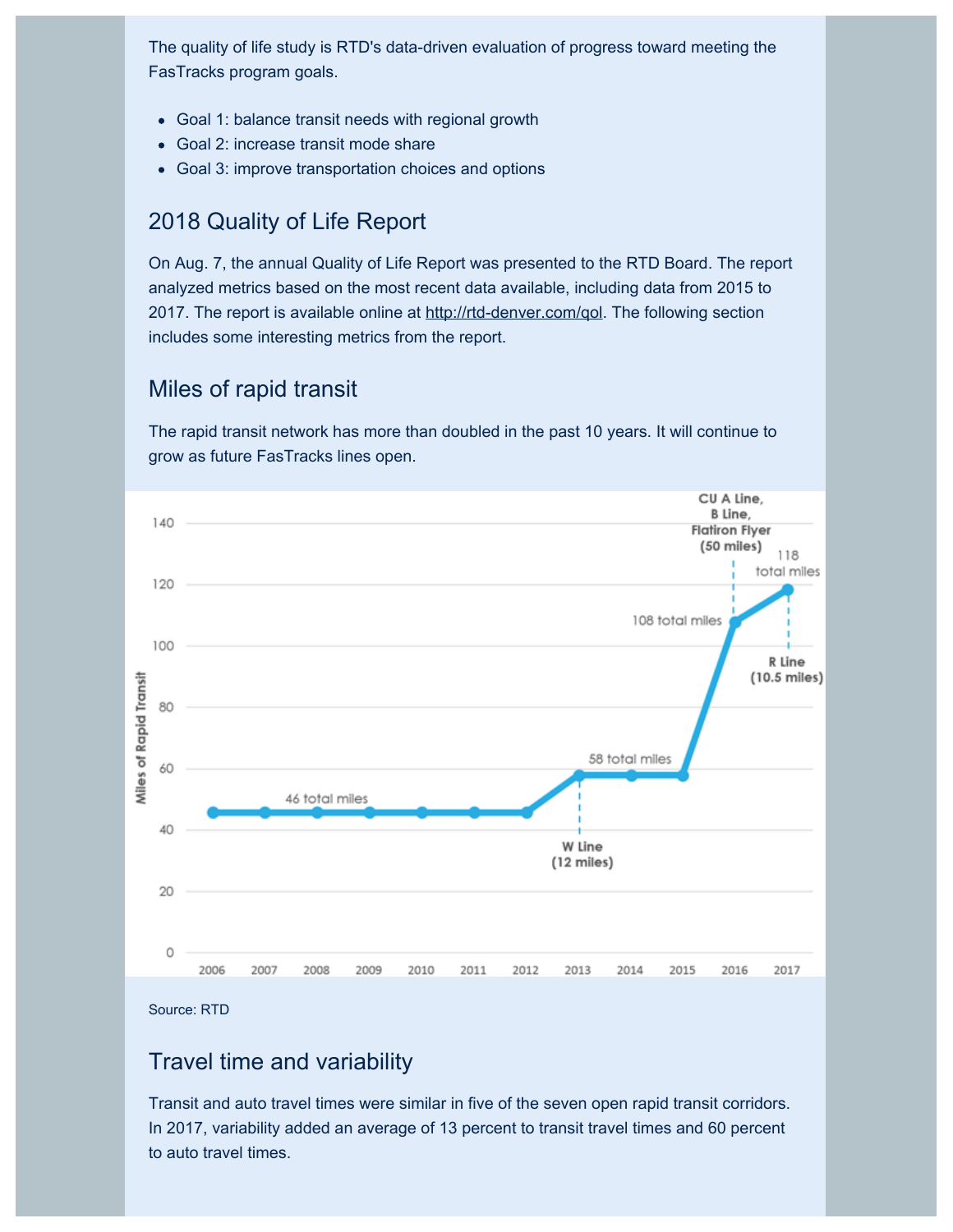The quality of life study is RTD's data-driven evaluation of progress toward meeting the FasTracks program goals.

- Goal 1: balance transit needs with regional growth
- Goal 2: increase transit mode share
- Goal 3: improve transportation choices and options

### 2018 Quality of Life Report

On Aug. 7, the annual Quality of Life Report was presented to the RTD Board. The report analyzed metrics based on the most recent data available, including data from 2015 to 2017. The report is available online at [http://rtd-denver.com/qol](https://drcog.createsend1.com/t/d-l-nbayd-l-t/). The following section includes some interesting metrics from the report.

### Miles of rapid transit

The rapid transit network has more than doubled in the past 10 years. It will continue to grow as future FasTracks lines open.



Source: RTD

#### Travel time and variability

Transit and auto travel times were similar in five of the seven open rapid transit corridors. In 2017, variability added an average of 13 percent to transit travel times and 60 percent to auto travel times.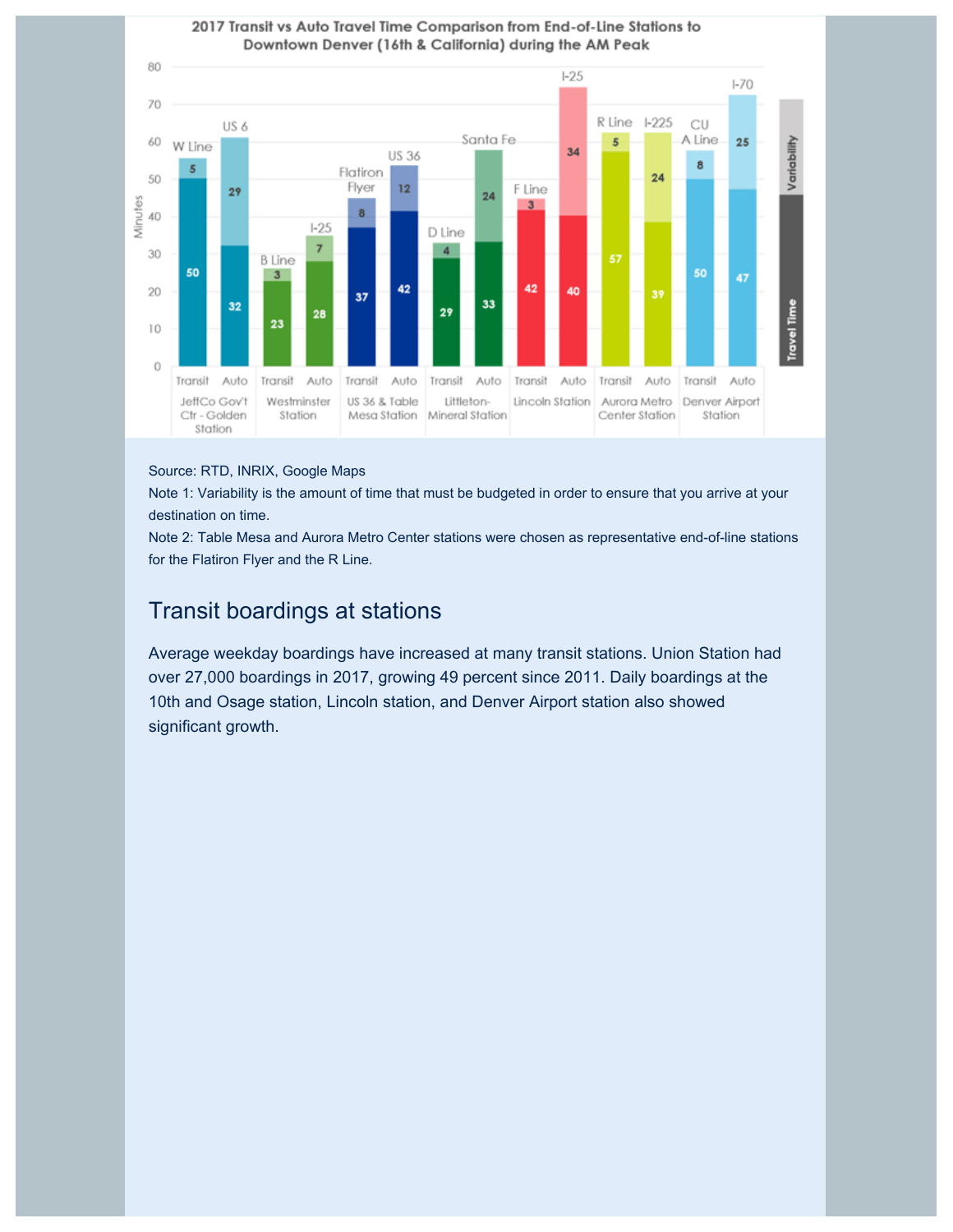

#### Source: RTD, INRIX, Google Maps

Note 1: Variability is the amount of time that must be budgeted in order to ensure that you arrive at your destination on time.

Note 2: Table Mesa and Aurora Metro Center stations were chosen as representative end-of-line stations for the Flatiron Flyer and the R Line.

### Transit boardings at stations

Average weekday boardings have increased at many transit stations. Union Station had over 27,000 boardings in 2017, growing 49 percent since 2011. Daily boardings at the 10th and Osage station, Lincoln station, and Denver Airport station also showed significant growth.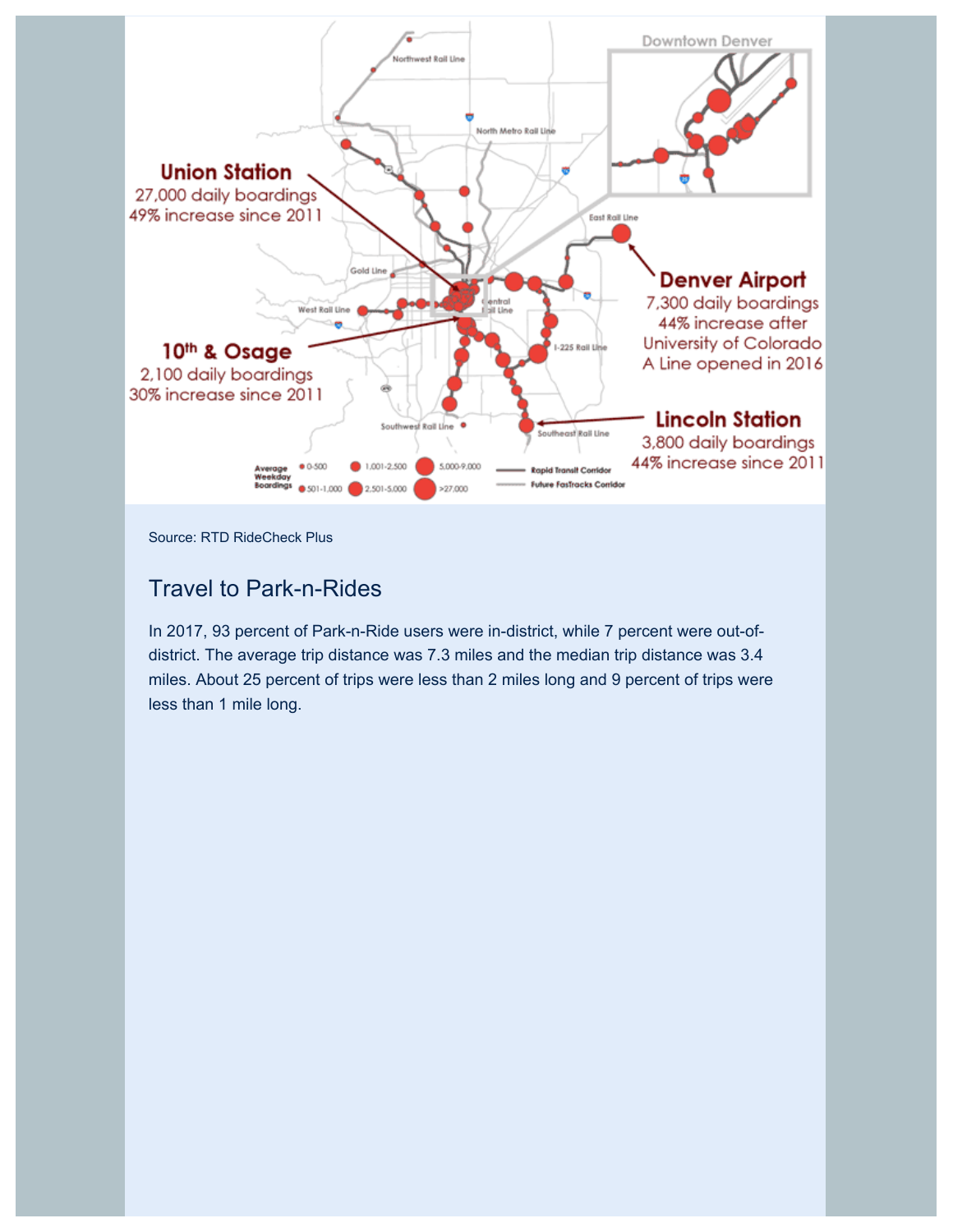

Source: RTD RideCheck Plus

#### Travel to Park-n-Rides

In 2017, 93 percent of Park-n-Ride users were in-district, while 7 percent were out-ofdistrict. The average trip distance was 7.3 miles and the median trip distance was 3.4 miles. About 25 percent of trips were less than 2 miles long and 9 percent of trips were less than 1 mile long.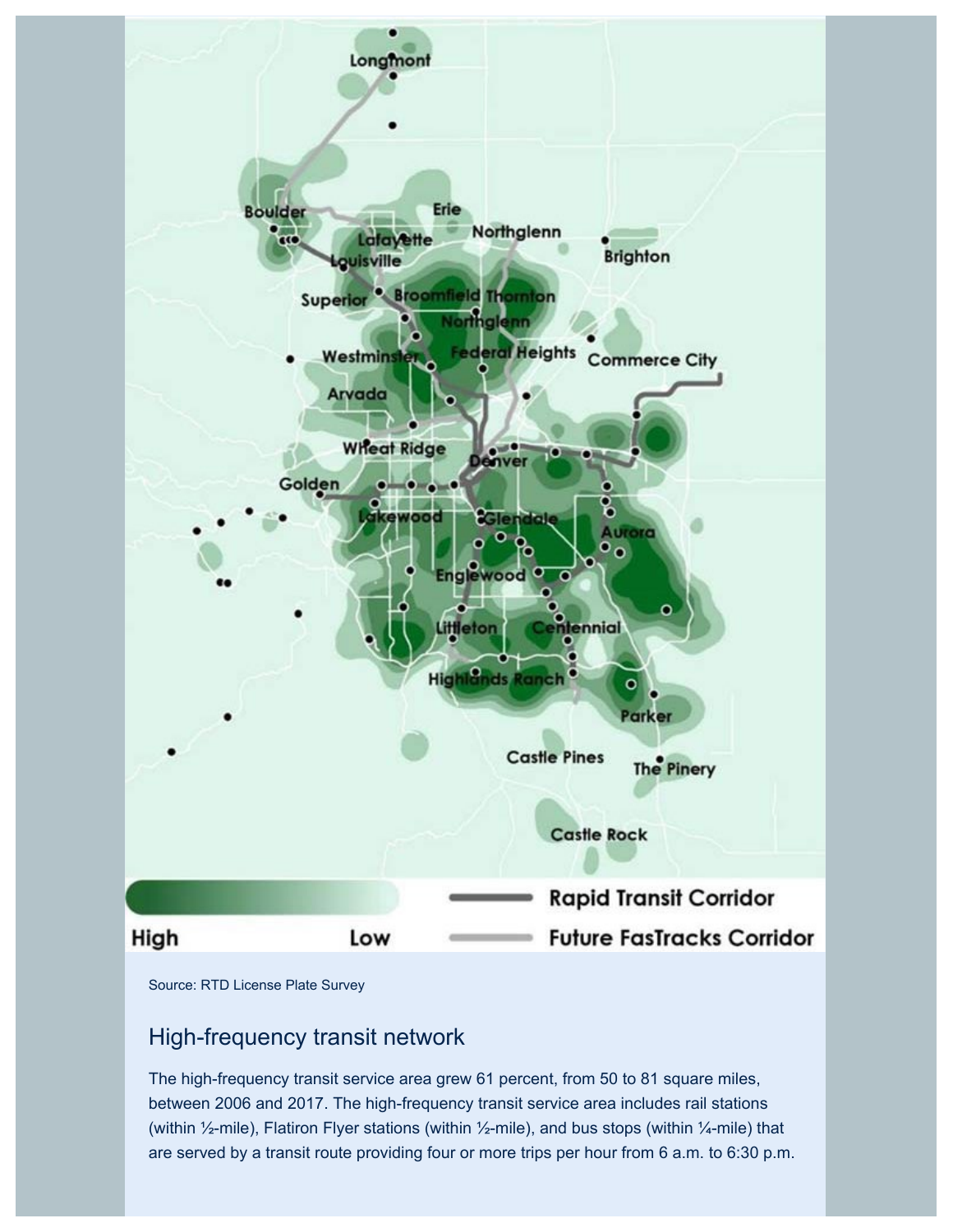

Source: RTD License Plate Survey

### High-frequency transit network

The high-frequency transit service area grew 61 percent, from 50 to 81 square miles, between 2006 and 2017. The high-frequency transit service area includes rail stations (within ½-mile), Flatiron Flyer stations (within ½-mile), and bus stops (within ¼-mile) that are served by a transit route providing four or more trips per hour from 6 a.m. to 6:30 p.m.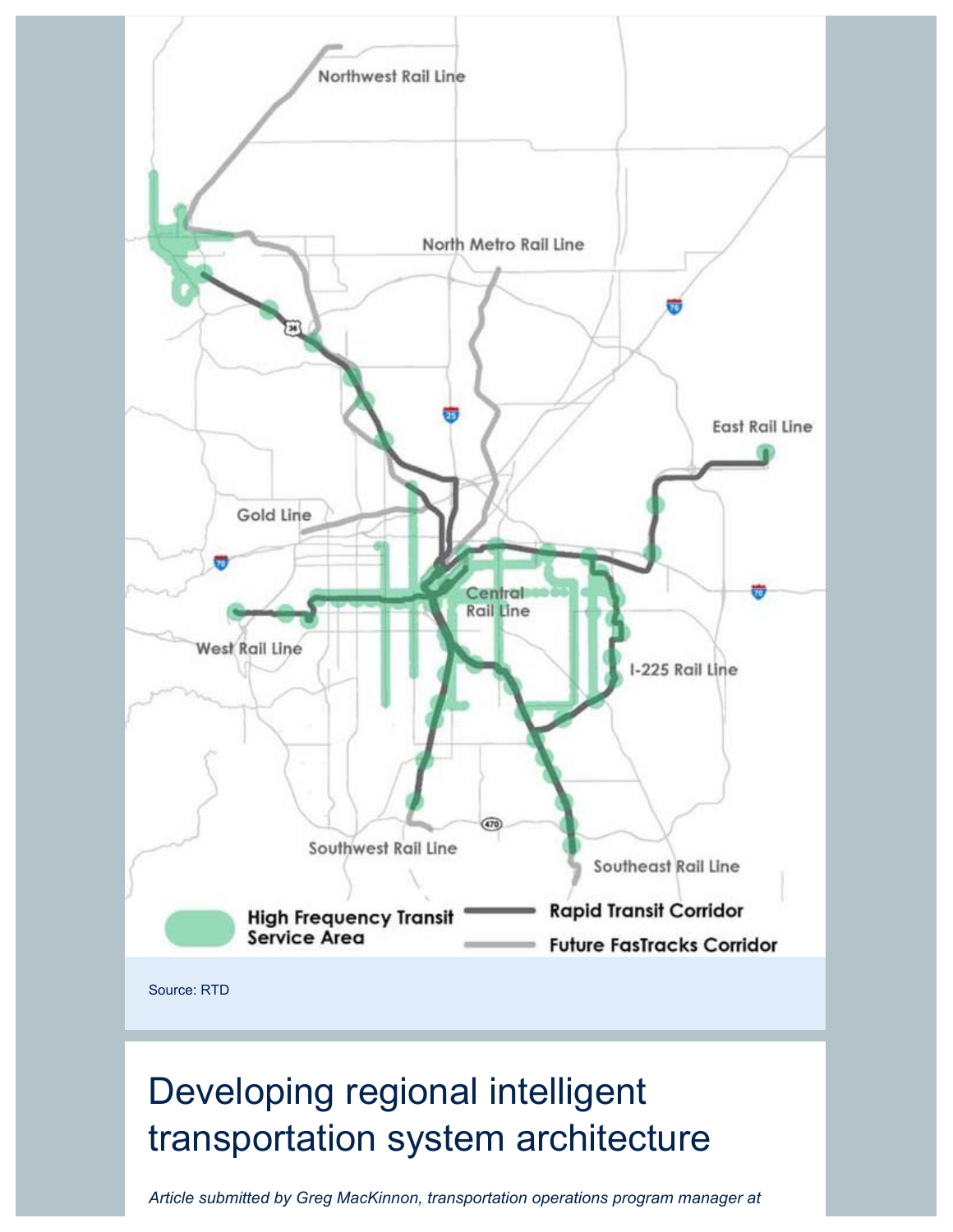

*Article submitted by Greg MacKinnon, transportation operations program manager at*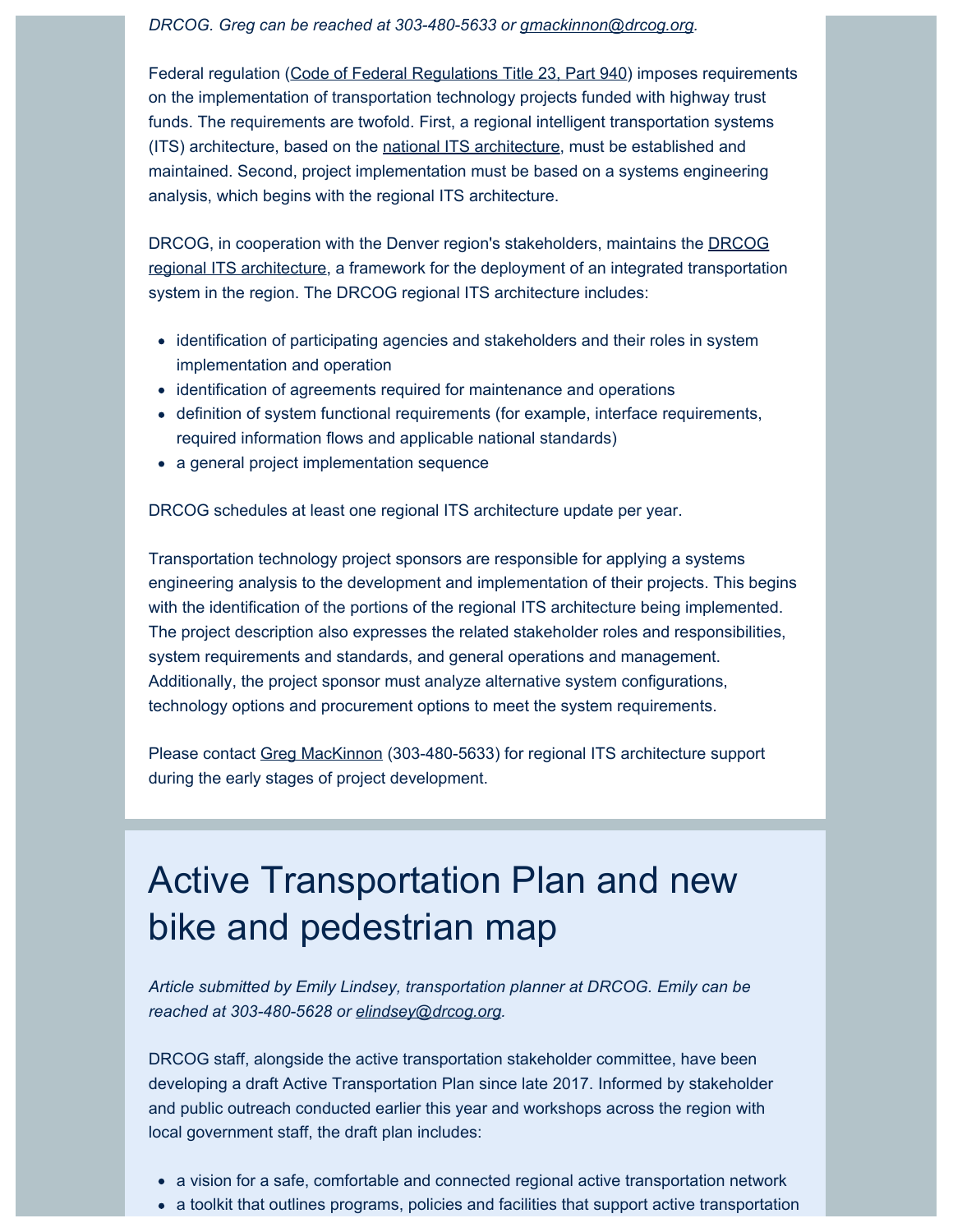*DRCOG. Greg can be reached at 303-480-5633 or [gmackinnon@drcog.org](mailto:gmackinnon@drcog.org).*

Federal regulation [\(Code of Federal Regulations Title 23, Part 940](https://drcog.createsend1.com/t/d-l-nbayd-l-i/)) imposes requirements on the implementation of transportation technology projects funded with highway trust funds. The requirements are twofold. First, a regional intelligent transportation systems (ITS) architecture, based on the [national ITS architecture](https://drcog.createsend1.com/t/d-l-nbayd-l-d/), must be established and maintained. Second, project implementation must be based on a systems engineering analysis, which begins with the regional ITS architecture.

DRCOG, in cooperation with the Denver region's stakeholders, maintains the [DRCOG](https://drcog.createsend1.com/t/d-l-nbayd-l-h/) [regional ITS architecture,](https://drcog.createsend1.com/t/d-l-nbayd-l-h/) a framework for the deployment of an integrated transportation system in the region. The DRCOG regional ITS architecture includes:

- identification of participating agencies and stakeholders and their roles in system implementation and operation
- identification of agreements required for maintenance and operations
- definition of system functional requirements (for example, interface requirements, required information flows and applicable national standards)
- a general project implementation sequence

DRCOG schedules at least one regional ITS architecture update per year.

Transportation technology project sponsors are responsible for applying a systems engineering analysis to the development and implementation of their projects. This begins with the identification of the portions of the regional ITS architecture being implemented. The project description also expresses the related stakeholder roles and responsibilities, system requirements and standards, and general operations and management. Additionally, the project sponsor must analyze alternative system configurations, technology options and procurement options to meet the system requirements.

Please contact [Greg MacKinnon](mailto:gmackinnon@drcog.org?subject=Data%20Consortium%20-%20ITS%20Architecture) (303-480-5633) for regional ITS architecture support during the early stages of project development.

# Active Transportation Plan and new bike and pedestrian map

*Article submitted by Emily Lindsey, transportation planner at DRCOG. Emily can be reached at 303-480-5628 or [elindsey@drcog.org](mailto:elindsey@drcog.org).*

DRCOG staff, alongside the active transportation stakeholder committee, have been developing a draft Active Transportation Plan since late 2017. Informed by stakeholder and public outreach conducted earlier this year and workshops across the region with local government staff, the draft plan includes:

- a vision for a safe, comfortable and connected regional active transportation network
- a toolkit that outlines programs, policies and facilities that support active transportation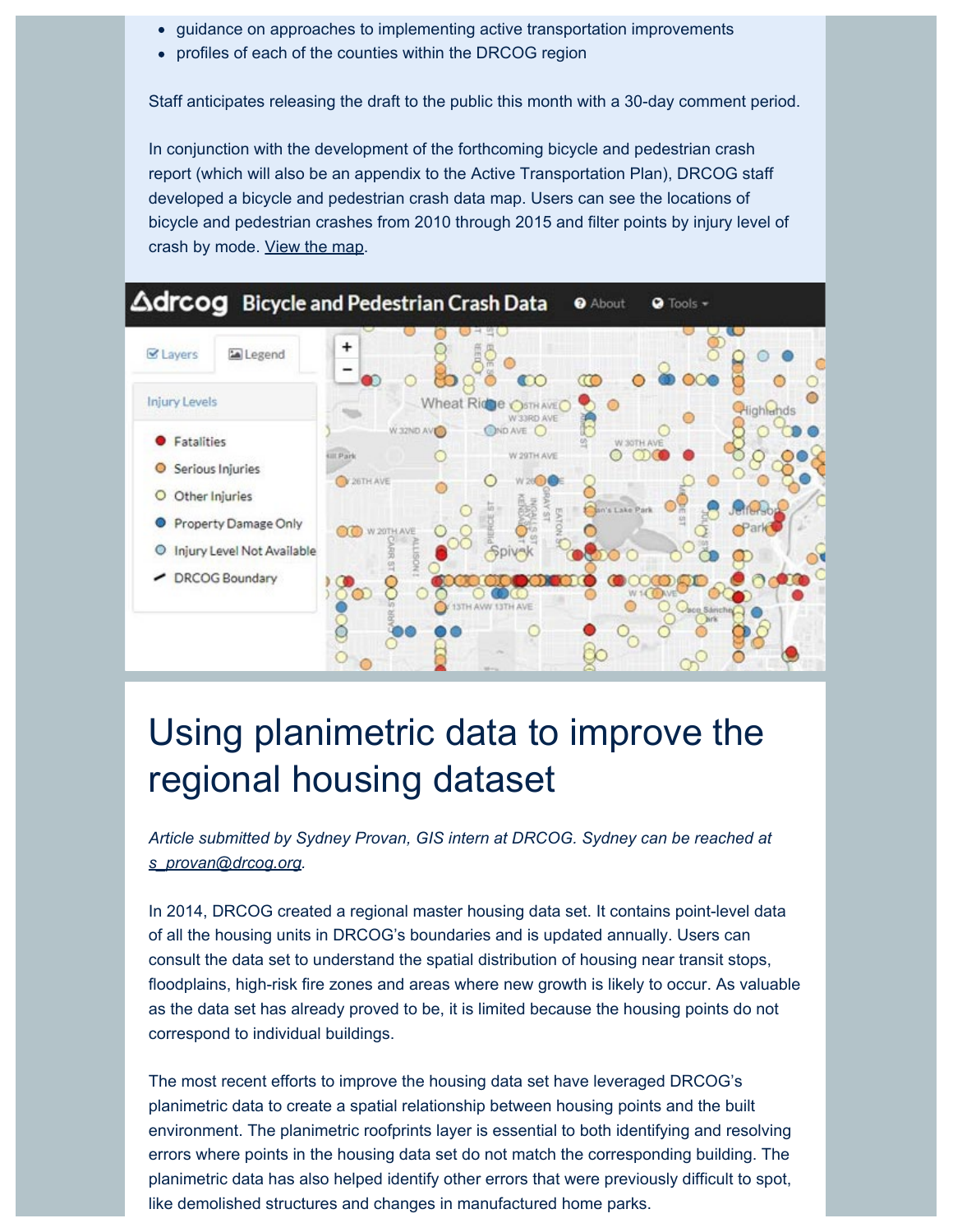- guidance on approaches to implementing active transportation improvements
- profiles of each of the counties within the DRCOG region

Staff anticipates releasing the draft to the public this month with a 30-day comment period.

In conjunction with the development of the forthcoming bicycle and pedestrian crash report (which will also be an appendix to the Active Transportation Plan), DRCOG staff developed a bicycle and pedestrian crash data map. Users can see the locations of bicycle and pedestrian crashes from 2010 through 2015 and filter points by injury level of crash by mode. [View the map](https://drcog.createsend1.com/t/d-l-nbayd-l-k/).



## Using planimetric data to improve the regional housing dataset

*Article submitted by Sydney Provan, GIS intern at DRCOG. Sydney can be reached at [s\\_provan@drcog.org.](mailto:s_provan@drcog.org)*

In 2014, DRCOG created a regional master housing data set. It contains point-level data of all the housing units in DRCOG's boundaries and is updated annually. Users can consult the data set to understand the spatial distribution of housing near transit stops, floodplains, high-risk fire zones and areas where new growth is likely to occur. As valuable as the data set has already proved to be, it is limited because the housing points do not correspond to individual buildings.

The most recent efforts to improve the housing data set have leveraged DRCOG's planimetric data to create a spatial relationship between housing points and the built environment. The planimetric roofprints layer is essential to both identifying and resolving errors where points in the housing data set do not match the corresponding building. The planimetric data has also helped identify other errors that were previously difficult to spot, like demolished structures and changes in manufactured home parks.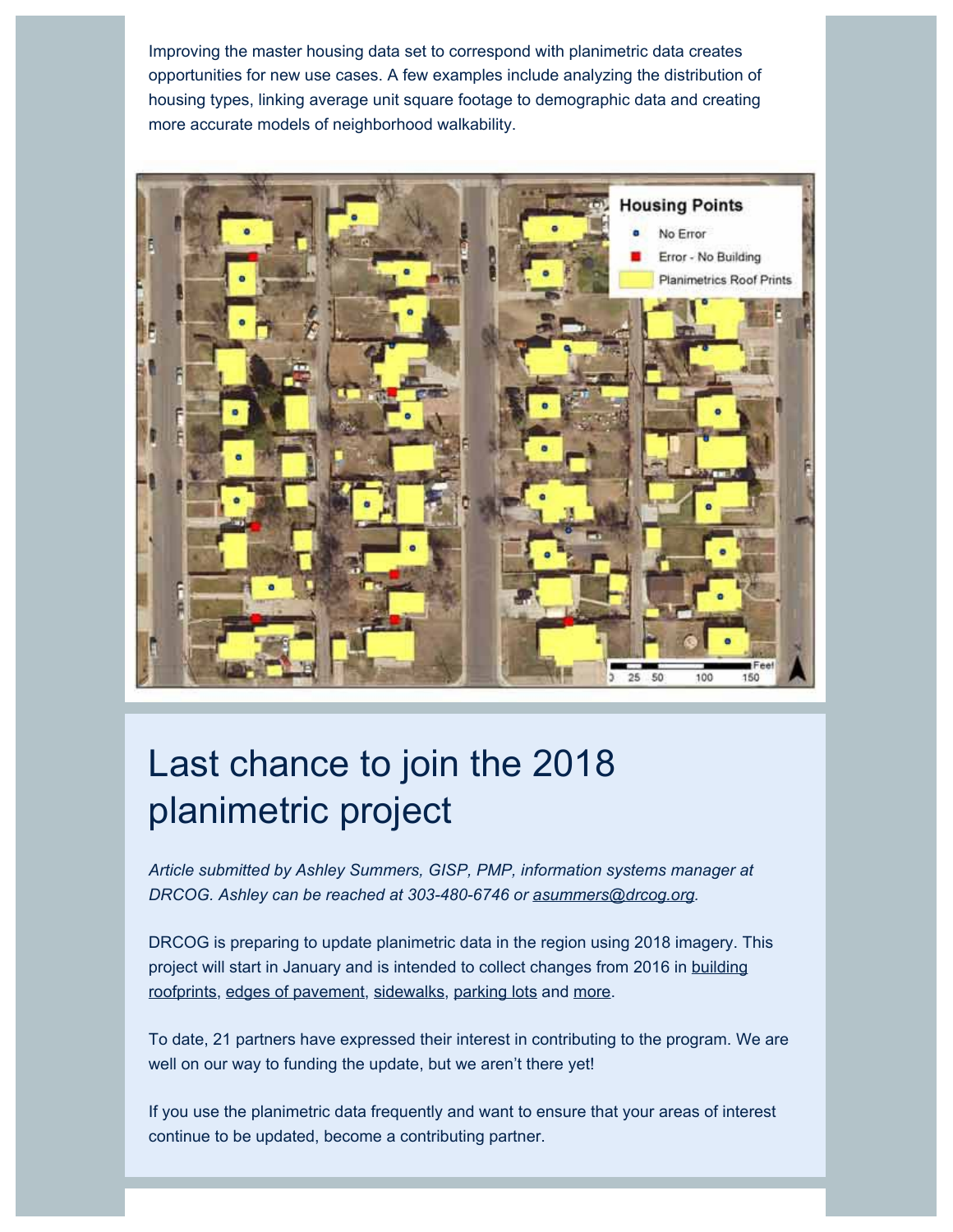Improving the master housing data set to correspond with planimetric data creates opportunities for new use cases. A few examples include analyzing the distribution of housing types, linking average unit square footage to demographic data and creating more accurate models of neighborhood walkability.



# Last chance to join the 2018 planimetric project

*Article submitted by Ashley Summers, GISP, PMP, information systems manager at DRCOG. Ashley can be reached at 303-480-6746 or [asummers@drcog.org](mailto:asummers@drcog.org).*

DRCOG is preparing to update planimetric data in the region using 2018 imagery. This project will start in January and is intended to collect changes from 2016 in [building](https://drcog.createsend1.com/t/d-l-nbayd-l-u/) [roofprints,](https://drcog.createsend1.com/t/d-l-nbayd-l-u/) [edges of pavement](https://drcog.createsend1.com/t/d-l-nbayd-l-o/), [sidewalks](https://drcog.createsend1.com/t/d-l-nbayd-l-m/), [parking lots](https://drcog.createsend1.com/t/d-l-nbayd-l-c/) and [more](https://drcog.createsend1.com/t/d-l-nbayd-l-q/).

To date, 21 partners have expressed their interest in contributing to the program. We are well on our way to funding the update, but we aren't there yet!

If you use the planimetric data frequently and want to ensure that your areas of interest continue to be updated, become a contributing partner.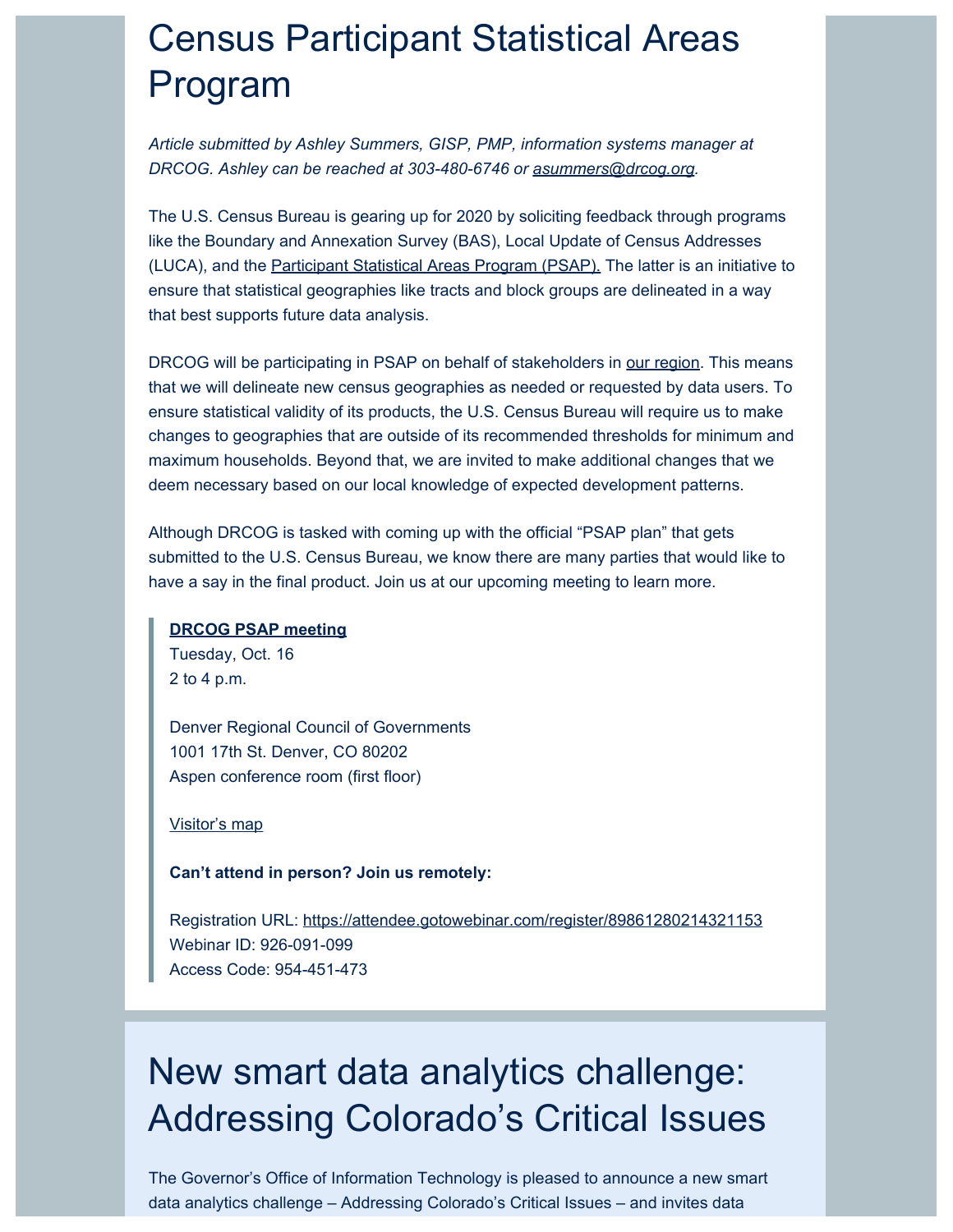# Census Participant Statistical Areas Program

*Article submitted by Ashley Summers, GISP, PMP, information systems manager at DRCOG. Ashley can be reached at 303-480-6746 or [asummers@drcog.org](mailto:asummers@drcog.org).*

The U.S. Census Bureau is gearing up for 2020 by soliciting feedback through programs like the Boundary and Annexation Survey (BAS), Local Update of Census Addresses (LUCA), and the [Participant Statistical Areas Program \(PSAP\).](https://drcog.createsend1.com/t/d-l-nbayd-l-a/) The latter is an initiative to ensure that statistical geographies like tracts and block groups are delineated in a way that best supports future data analysis.

DRCOG will be participating in PSAP on behalf of stakeholders in [our region](https://drcog.createsend1.com/t/d-l-nbayd-l-z/). This means that we will delineate new census geographies as needed or requested by data users. To ensure statistical validity of its products, the U.S. Census Bureau will require us to make changes to geographies that are outside of its recommended thresholds for minimum and maximum households. Beyond that, we are invited to make additional changes that we deem necessary based on our local knowledge of expected development patterns.

Although DRCOG is tasked with coming up with the official "PSAP plan" that gets submitted to the U.S. Census Bureau, we know there are many parties that would like to have a say in the final product. Join us at our upcoming meeting to learn more.

#### **[DRCOG PSAP meeting](https://drcog.createsend1.com/t/d-l-nbayd-l-v/)**

Tuesday, Oct. 16 2 to 4 p.m.

Denver Regional Council of Governments 1001 17th St. Denver, CO 80202 Aspen conference room (first floor)

#### [Visitor's map](https://drcog.createsend1.com/t/d-l-nbayd-l-e/)

**Can't attend in person? Join us remotely:**

Registration URL: [https://attendee.gotowebinar.com/register/89861280214321153](https://drcog.createsend1.com/t/d-l-nbayd-l-s/) Webinar ID: 926-091-099 Access Code: 954-451-473

## New smart data analytics challenge: Addressing Colorado's Critical Issues

The Governor's Office of Information Technology is pleased to announce a new smart data analytics challenge – Addressing Colorado's Critical Issues – and invites data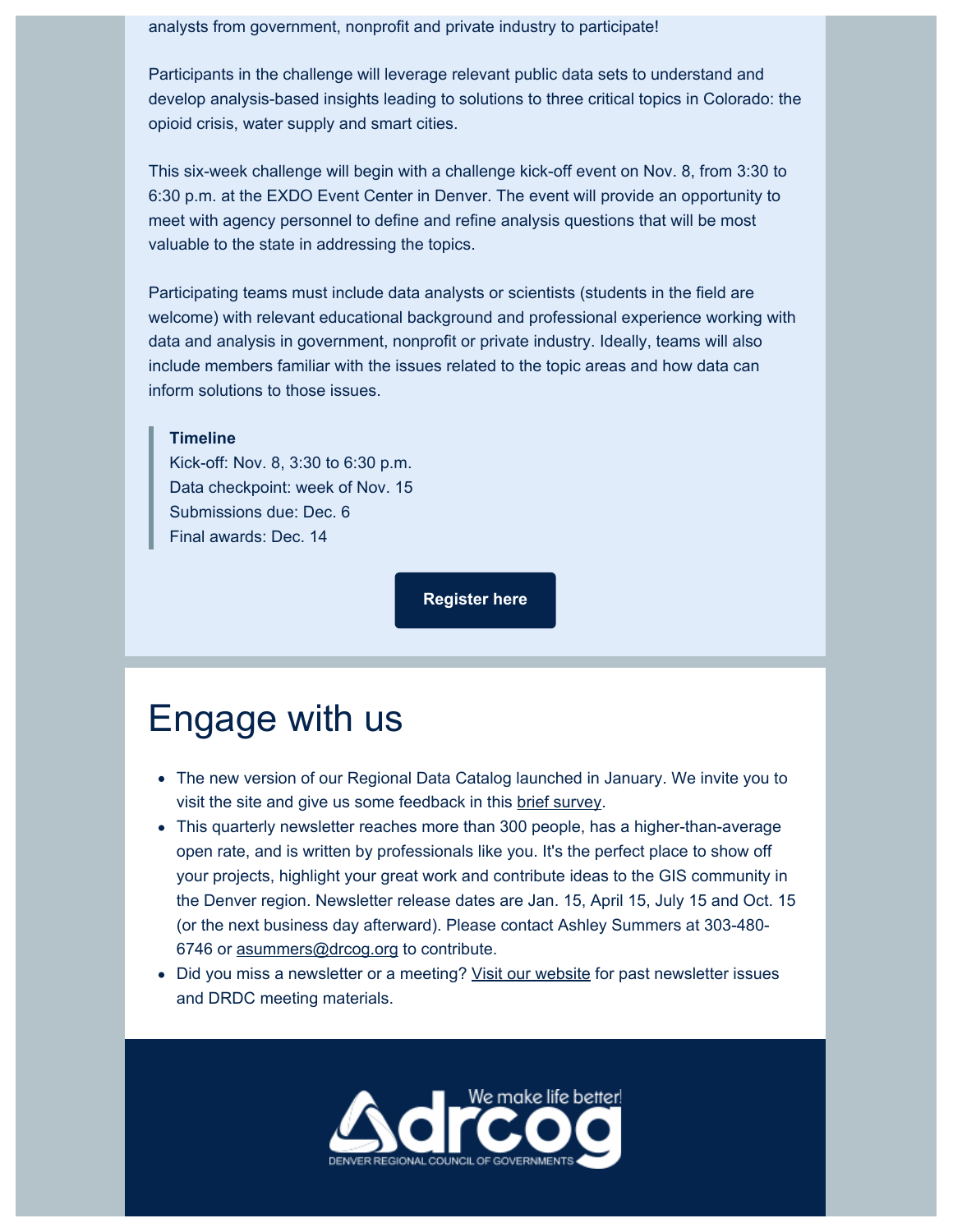#### analysts from government, nonprofit and private industry to participate!

Participants in the challenge will leverage relevant public data sets to understand and develop analysis-based insights leading to solutions to three critical topics in Colorado: the opioid crisis, water supply and smart cities.

This six-week challenge will begin with a challenge kick-off event on Nov. 8, from 3:30 to 6:30 p.m. at the EXDO Event Center in Denver. The event will provide an opportunity to meet with agency personnel to define and refine analysis questions that will be most valuable to the state in addressing the topics.

Participating teams must include data analysts or scientists (students in the field are welcome) with relevant educational background and professional experience working with data and analysis in government, nonprofit or private industry. Ideally, teams will also include members familiar with the issues related to the topic areas and how data can inform solutions to those issues.

#### **Timeline**

Kick-off: Nov. 8, 3:30 to 6:30 p.m. Data checkpoint: week of Nov. 15 Submissions due: Dec. 6 Final awards: Dec. 14

**[Register here](https://drcog.createsend1.com/t/d-l-nbayd-l-g/)**

### Engage with us

- The new version of our Regional Data Catalog launched in January. We invite you to visit the site and give us some feedback in this [brief survey](https://drcog.createsend1.com/t/d-l-nbayd-l-w/).
- This quarterly newsletter reaches more than 300 people, has a higher-than-average open rate, and is written by professionals like you. It's the perfect place to show off your projects, highlight your great work and contribute ideas to the GIS community in the Denver region. Newsletter release dates are Jan. 15, April 15, July 15 and Oct. 15 (or the next business day afterward). Please contact Ashley Summers at 303-480 6746 or [asummers@drcog.org](mailto:asummers@drcog.org) to contribute.
- Did you miss a newsletter or a meeting? [Visit our website](https://drcog.createsend1.com/t/d-l-nbayd-l-yd/) for past newsletter issues and DRDC meeting materials.